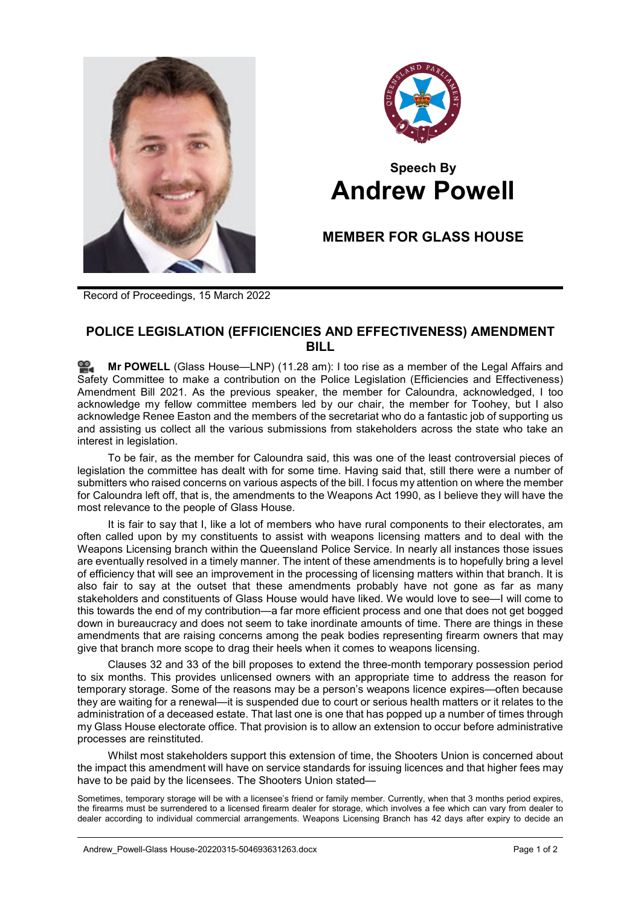



## **Speech By Andrew Powell**

## **MEMBER FOR GLASS HOUSE**

Record of Proceedings, 15 March 2022

## **POLICE LEGISLATION (EFFICIENCIES AND EFFECTIVENESS) AMENDMENT BILL**

**Mr [POWELL](http://www.parliament.qld.gov.au/docs/find.aspx?id=0Mba20220315_112820)** (Glass House—LNP) (11.28 am): I too rise as a member of the Legal Affairs and Safety Committee to make a contribution on the Police Legislation (Efficiencies and Effectiveness) Amendment Bill 2021. As the previous speaker, the member for Caloundra, acknowledged, I too acknowledge my fellow committee members led by our chair, the member for Toohey, but I also acknowledge Renee Easton and the members of the secretariat who do a fantastic job of supporting us and assisting us collect all the various submissions from stakeholders across the state who take an interest in legislation.

To be fair, as the member for Caloundra said, this was one of the least controversial pieces of legislation the committee has dealt with for some time. Having said that, still there were a number of submitters who raised concerns on various aspects of the bill. I focus my attention on where the member for Caloundra left off, that is, the amendments to the Weapons Act 1990, as I believe they will have the most relevance to the people of Glass House.

It is fair to say that I, like a lot of members who have rural components to their electorates, am often called upon by my constituents to assist with weapons licensing matters and to deal with the Weapons Licensing branch within the Queensland Police Service. In nearly all instances those issues are eventually resolved in a timely manner. The intent of these amendments is to hopefully bring a level of efficiency that will see an improvement in the processing of licensing matters within that branch. It is also fair to say at the outset that these amendments probably have not gone as far as many stakeholders and constituents of Glass House would have liked. We would love to see—I will come to this towards the end of my contribution—a far more efficient process and one that does not get bogged down in bureaucracy and does not seem to take inordinate amounts of time. There are things in these amendments that are raising concerns among the peak bodies representing firearm owners that may give that branch more scope to drag their heels when it comes to weapons licensing.

Clauses 32 and 33 of the bill proposes to extend the three-month temporary possession period to six months. This provides unlicensed owners with an appropriate time to address the reason for temporary storage. Some of the reasons may be a person's weapons licence expires—often because they are waiting for a renewal—it is suspended due to court or serious health matters or it relates to the administration of a deceased estate. That last one is one that has popped up a number of times through my Glass House electorate office. That provision is to allow an extension to occur before administrative processes are reinstituted.

Whilst most stakeholders support this extension of time, the Shooters Union is concerned about the impact this amendment will have on service standards for issuing licences and that higher fees may have to be paid by the licensees. The Shooters Union stated—

Sometimes, temporary storage will be with a licensee's friend or family member. Currently, when that 3 months period expires, the firearms must be surrendered to a licensed firearm dealer for storage, which involves a fee which can vary from dealer to dealer according to individual commercial arrangements. Weapons Licensing Branch has 42 days after expiry to decide an